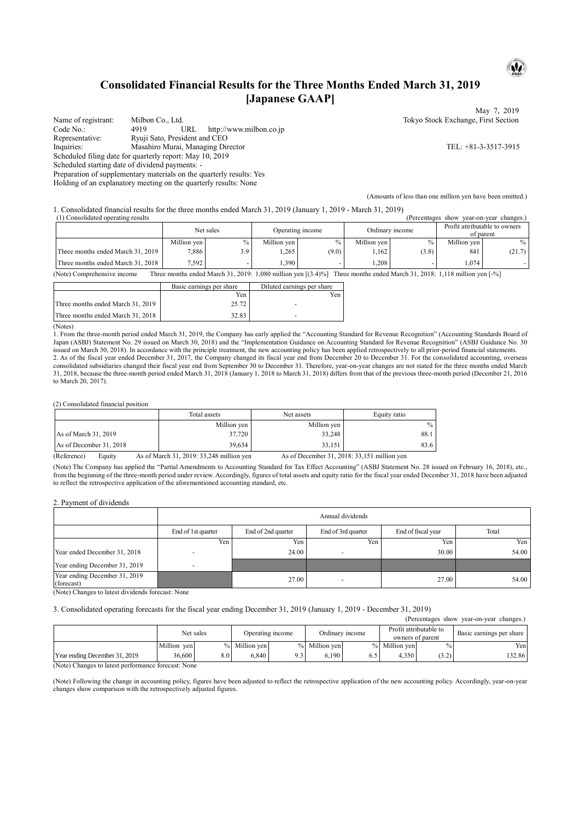## **Consolidated Financial Results for the Three Months Ended March 31, 2019 [Japanese GAAP]**

Name of registrant: Milbon Co., Ltd. Tokyo Stock Exchange, First Section Code No.: 4919 URL http://www.milbon.co.jp Representative: Ryuji Sato, President and CEO Inquiries: Masahiro Murai, Managing Director TEL: +81-3-3517-3915 Scheduled filing date for quarterly report: May 10, 2019 Scheduled starting date of dividend payments: - Preparation of supplementary materials on the quarterly results: Yes

Holding of an explanatory meeting on the quarterly results: None

(Amounts of less than one million yen have been omitted.)

1. Consolidated financial results for the three months ended March 31, 2019 (January 1, 2019 - March 31, 2019)

| (1) Consolidated operating results<br>(Percentages show)<br>vear-on-vear changes. |             |               |                  |               |                 |       |                                            |               |
|-----------------------------------------------------------------------------------|-------------|---------------|------------------|---------------|-----------------|-------|--------------------------------------------|---------------|
|                                                                                   | Net sales   |               | Operating income |               | Ordinary income |       | Profit attributable to owners<br>of parent |               |
|                                                                                   | Million ven | $\frac{0}{0}$ | Million ven l    | $\frac{0}{0}$ | Million yen     | $\%$  | Million ven                                | $\frac{0}{0}$ |
| Three months ended March 31, 2019                                                 | 7,886       | 3.9           | 1,265            | (9.0)         | .162            | (3.8) | 841                                        | (21.7)        |
| Three months ended March 31, 2018                                                 | 7.592       |               | 1,390            |               | .208            |       | 1.074                                      |               |
| ____<br>_____<br>.                                                                |             |               |                  | --- ------    |                 |       |                                            | - - - -       |

(Note) Comprehensive income Three months ended March 31, 2019: 1,080 million yen [(3.4)%] Three months ended March 31, 2018: 1,118 million yen [-%]

|                                   | Basic earnings per share | Diluted earnings per share |
|-----------------------------------|--------------------------|----------------------------|
|                                   | Yen                      | Yen                        |
| Three months ended March 31, 2019 | 25.72                    |                            |
| Three months ended March 31, 2018 | 32.83                    |                            |

(Notes)

1. From the three-month period ended March 31, 2019, the Company has early applied the "Accounting Standard for Revenue Recognition" (Accounting Standards Board of Japan (ASBJ) Statement No. 29 issued on March 30, 2018) and the "Implementation Guidance on Accounting Standard for Revenue Recognition" (ASBJ Guidance No. 30 issued on March 30, 2018). In accordance with the principle treatment, the new accounting policy has been applied retrospectively to all prior-period financial statements. 2. As of the fiscal year ended December 31, 2017, the Company changed its fiscal year end from December 20 to December 31. For the consolidated accounting, overseas consolidated subsidiaries changed their fiscal year end from September 30 to December 31. Therefore, year-on-year changes are not stated for the three months ended March 31, 2018, because the three-month period ended March 31, 2018 (January 1, 2018 to March 31, 2018) differs from that of the previous three-month period (December 21, 2016 to March 20, 2017).

(2) Consolidated financial position

|                         | Total assets | Net assets  | Equity ratio  |
|-------------------------|--------------|-------------|---------------|
|                         | Million yen  | Million yen | $\frac{0}{0}$ |
| As of March 31, 2019    | 37,720       | 33,248      | 88.1          |
| As of December 31, 2018 | 39.634       | 33.151      | 83.6          |

(Reference) Equity As of March 31, 2019: 33,248 million yen As of December 31, 2018: 33,151 million yen

(Note) The Company has applied the "Partial Amendments to Accounting Standard for Tax Effect Accounting" (ASBJ Statement No. 28 issued on February 16, 2018), etc., from the beginning of the three-month period under review. Accordingly, figures of total assets and equity ratio for the fiscal year ended December 31, 2018 have been adjusted to reflect the retrospective application of the aforementioned accounting standard, etc.

2. Payment of dividends

|                                                                                     | Annual dividends   |                                                                         |     |       |       |  |  |
|-------------------------------------------------------------------------------------|--------------------|-------------------------------------------------------------------------|-----|-------|-------|--|--|
|                                                                                     | End of 1st quarter | End of 3rd quarter<br>End of fiscal year<br>Total<br>End of 2nd quarter |     |       |       |  |  |
|                                                                                     | Yen i              | Yen                                                                     | Yen | Yen.  | Yen   |  |  |
| Year ended December 31, 2018                                                        |                    | 24.00                                                                   | -   | 30.00 | 54.00 |  |  |
| Year ending December 31, 2019                                                       |                    |                                                                         |     |       |       |  |  |
| Year ending December 31, 2019<br>(forecast)<br>$\Delta x \rightarrow \Delta x$<br>. | $\cdots$           | 27.00                                                                   |     | 27.00 | 54.00 |  |  |

(Note) Changes to latest dividends forecast: None

3. Consolidated operating forecasts for the fiscal year ending December 31, 2019 (January 1, 2019 - December 31, 2019)

(Percentages show year-on-year changes.)

|                                                     | Net sales   |     | Operating income |                | Ordinary income |     | Profit attributable to<br>owners of parent |               | Basic earnings per share |
|-----------------------------------------------------|-------------|-----|------------------|----------------|-----------------|-----|--------------------------------------------|---------------|--------------------------|
|                                                     | Million ven |     | % Million ven    |                | % Million ven   |     | % Million ven                              | $\frac{0}{0}$ | Yenl                     |
| Year ending December 31, 2019                       | 36,600      | 8.0 | 6.840            | 0 <sup>2</sup> | 6.190           | 6.5 | 4.350                                      | (3.2)         | 32.86                    |
| (Note) Changes to latest performance forecast: None |             |     |                  |                |                 |     |                                            |               |                          |

e) Changes to latest performance forecast: No

(Note) Following the change in accounting policy, figures have been adjusted to reflect the retrospective application of the new accounting policy. Accordingly, year-on-year changes show comparison with the retrospectively adjusted figures.



May 7, 2019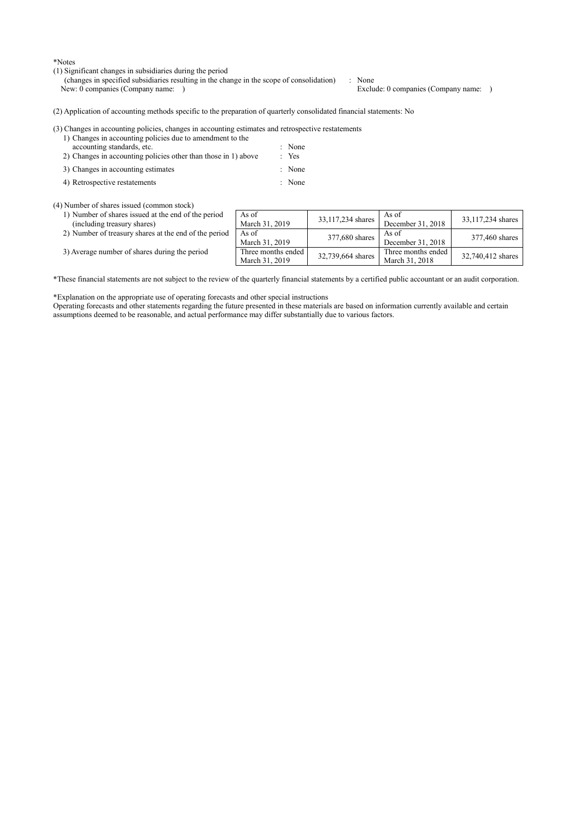\*Notes

- (1) Significant changes in subsidiaries during the period
	- (changes in specified subsidiaries resulting in the change in the scope of consolidation) : None New: 0 companies (Company name: ) Exclude: 0 companies (Company name: )

(2) Application of accounting methods specific to the preparation of quarterly consolidated financial statements: No

#### (3) Changes in accounting policies, changes in accounting estimates and retrospective restatements

- 1) Changes in accounting policies due to amendment to the accounting standards, etc. : None<br>Changes in accounting policies other than those in 1) above : Yes 2) Changes in accounting policies other than those in 1) above
- 3) Changes in accounting estimates : None
- 4) Retrospective restatements : None

(4) Number of shares issued (common stock)

1) Number of shares issued at the end of the period (including treasury shares) 2) Number of treasury shares at the end of the period

| As of<br>March 31, 2019              | 33,117,234 shares | As of<br>December 31, 2018           | 33,117,234 shares |
|--------------------------------------|-------------------|--------------------------------------|-------------------|
| As of<br>March 31, 2019              | 377,680 shares    | As of<br>December 31, 2018           | 377,460 shares    |
| Three months ended<br>March 31, 2019 | 32,739,664 shares | Three months ended<br>March 31, 2018 | 32,740,412 shares |

3) Average number of shares during the period

\*These financial statements are not subject to the review of the quarterly financial statements by a certified public accountant or an audit corporation.

\*Explanation on the appropriate use of operating forecasts and other special instructions

Operating forecasts and other statements regarding the future presented in these materials are based on information currently available and certain assumptions deemed to be reasonable, and actual performance may differ substantially due to various factors.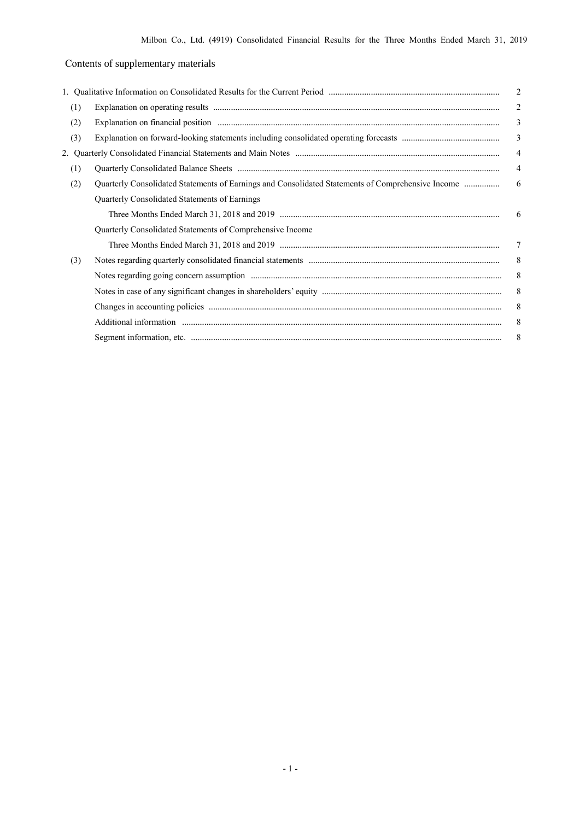# Contents of supplementary materials

|     |                                                                                                   | $\overline{c}$          |
|-----|---------------------------------------------------------------------------------------------------|-------------------------|
| (1) |                                                                                                   | $\overline{2}$          |
| (2) |                                                                                                   | 3                       |
| (3) |                                                                                                   | $\overline{\mathbf{3}}$ |
|     |                                                                                                   | $\overline{4}$          |
| (1) |                                                                                                   | $\overline{4}$          |
| (2) | Quarterly Consolidated Statements of Earnings and Consolidated Statements of Comprehensive Income | 6                       |
|     | Quarterly Consolidated Statements of Earnings                                                     |                         |
|     |                                                                                                   | 6                       |
|     | Quarterly Consolidated Statements of Comprehensive Income                                         |                         |
|     |                                                                                                   | 7                       |
| (3) |                                                                                                   | 8                       |
|     |                                                                                                   | 8                       |
|     |                                                                                                   | 8                       |
|     |                                                                                                   | 8                       |
|     |                                                                                                   | 8                       |
|     |                                                                                                   | 8                       |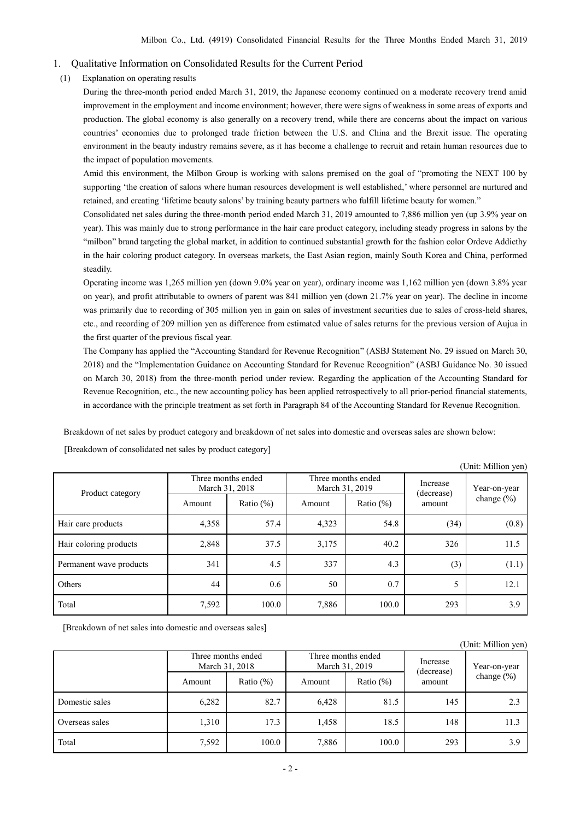#### 1. Qualitative Information on Consolidated Results for the Current Period

(1) Explanation on operating results

During the three-month period ended March 31, 2019, the Japanese economy continued on a moderate recovery trend amid improvement in the employment and income environment; however, there were signs of weakness in some areas of exports and production. The global economy is also generally on a recovery trend, while there are concerns about the impact on various countries' economies due to prolonged trade friction between the U.S. and China and the Brexit issue. The operating environment in the beauty industry remains severe, as it has become a challenge to recruit and retain human resources due to the impact of population movements.

Amid this environment, the Milbon Group is working with salons premised on the goal of "promoting the NEXT 100 by supporting 'the creation of salons where human resources development is well established,' where personnel are nurtured and retained, and creating 'lifetime beauty salons' by training beauty partners who fulfill lifetime beauty for women."

Consolidated net sales during the three-month period ended March 31, 2019 amounted to 7,886 million yen (up 3.9% year on year). This was mainly due to strong performance in the hair care product category, including steady progress in salons by the "milbon" brand targeting the global market, in addition to continued substantial growth for the fashion color Ordeve Addicthy in the hair coloring product category. In overseas markets, the East Asian region, mainly South Korea and China, performed steadily.

Operating income was 1,265 million yen (down 9.0% year on year), ordinary income was 1,162 million yen (down 3.8% year on year), and profit attributable to owners of parent was 841 million yen (down 21.7% year on year). The decline in income was primarily due to recording of 305 million yen in gain on sales of investment securities due to sales of cross-held shares, etc., and recording of 209 million yen as difference from estimated value of sales returns for the previous version of Aujua in the first quarter of the previous fiscal year.

The Company has applied the "Accounting Standard for Revenue Recognition" (ASBJ Statement No. 29 issued on March 30, 2018) and the "Implementation Guidance on Accounting Standard for Revenue Recognition" (ASBJ Guidance No. 30 issued on March 30, 2018) from the three-month period under review. Regarding the application of the Accounting Standard for Revenue Recognition, etc., the new accounting policy has been applied retrospectively to all prior-period financial statements, in accordance with the principle treatment as set forth in Paragraph 84 of the Accounting Standard for Revenue Recognition.

Breakdown of net sales by product category and breakdown of net sales into domestic and overseas sales are shown below:

|                         |                                      |              |                                      |              |                        | (Unit: Million yen) |
|-------------------------|--------------------------------------|--------------|--------------------------------------|--------------|------------------------|---------------------|
| Product category        | Three months ended<br>March 31, 2018 |              | Three months ended<br>March 31, 2019 |              | Increase<br>(decrease) | Year-on-year        |
|                         | Amount                               | Ratio $(\%)$ | Amount                               | Ratio $(\%)$ | amount                 | change $(\% )$      |
| Hair care products      | 4,358                                | 57.4         | 4,323                                | 54.8         | (34)                   | (0.8)               |
| Hair coloring products  | 2,848                                | 37.5         | 3,175                                | 40.2         | 326                    | 11.5                |
| Permanent wave products | 341                                  | 4.5          | 337                                  | 4.3          | (3)                    | (1.1)               |
| Others                  | 44                                   | 0.6          | 50                                   | 0.7          | 5                      | 12.1                |
| Total                   | 7,592                                | 100.0        | 7,886                                | 100.0        | 293                    | 3.9                 |

[Breakdown of consolidated net sales by product category]

[Breakdown of net sales into domestic and overseas sales]

|                |                                      |              |                                      |              |                        | (Unit: Million yen) |
|----------------|--------------------------------------|--------------|--------------------------------------|--------------|------------------------|---------------------|
|                | Three months ended<br>March 31, 2018 |              | Three months ended<br>March 31, 2019 |              | Increase<br>(decrease) | Year-on-year        |
|                | Amount                               | Ratio $(\%)$ | Amount                               | Ratio $(\%)$ | amount                 | change $(\%)$       |
| Domestic sales | 6,282                                | 82.7         | 6,428                                | 81.5         | 145                    | 2.3                 |
| Overseas sales | 1,310                                | 17.3         | 1,458                                | 18.5         | 148                    | 11.3                |
| Total          | 7,592                                | 100.0        | 7,886                                | 100.0        | 293                    | 3.9                 |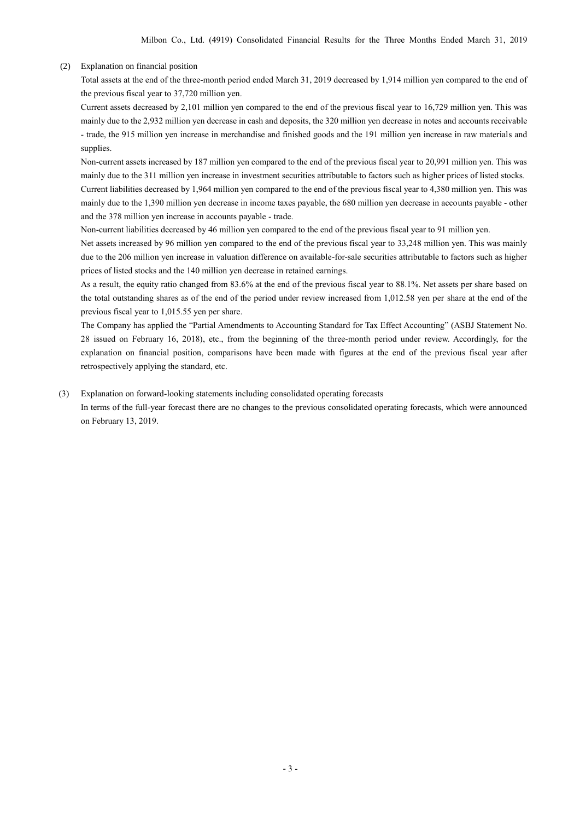### (2) Explanation on financial position

Total assets at the end of the three-month period ended March 31, 2019 decreased by 1,914 million yen compared to the end of the previous fiscal year to 37,720 million yen.

Current assets decreased by 2,101 million yen compared to the end of the previous fiscal year to 16,729 million yen. This was mainly due to the 2,932 million yen decrease in cash and deposits, the 320 million yen decrease in notes and accounts receivable - trade, the 915 million yen increase in merchandise and finished goods and the 191 million yen increase in raw materials and supplies.

Non-current assets increased by 187 million yen compared to the end of the previous fiscal year to 20,991 million yen. This was mainly due to the 311 million yen increase in investment securities attributable to factors such as higher prices of listed stocks.

Current liabilities decreased by 1,964 million yen compared to the end of the previous fiscal year to 4,380 million yen. This was mainly due to the 1,390 million yen decrease in income taxes payable, the 680 million yen decrease in accounts payable - other and the 378 million yen increase in accounts payable - trade.

Non-current liabilities decreased by 46 million yen compared to the end of the previous fiscal year to 91 million yen.

Net assets increased by 96 million yen compared to the end of the previous fiscal year to 33,248 million yen. This was mainly due to the 206 million yen increase in valuation difference on available-for-sale securities attributable to factors such as higher prices of listed stocks and the 140 million yen decrease in retained earnings.

As a result, the equity ratio changed from 83.6% at the end of the previous fiscal year to 88.1%. Net assets per share based on the total outstanding shares as of the end of the period under review increased from 1,012.58 yen per share at the end of the previous fiscal year to 1,015.55 yen per share.

The Company has applied the "Partial Amendments to Accounting Standard for Tax Effect Accounting" (ASBJ Statement No. 28 issued on February 16, 2018), etc., from the beginning of the three-month period under review. Accordingly, for the explanation on financial position, comparisons have been made with figures at the end of the previous fiscal year after retrospectively applying the standard, etc.

#### (3) Explanation on forward-looking statements including consolidated operating forecasts

In terms of the full-year forecast there are no changes to the previous consolidated operating forecasts, which were announced on February 13, 2019.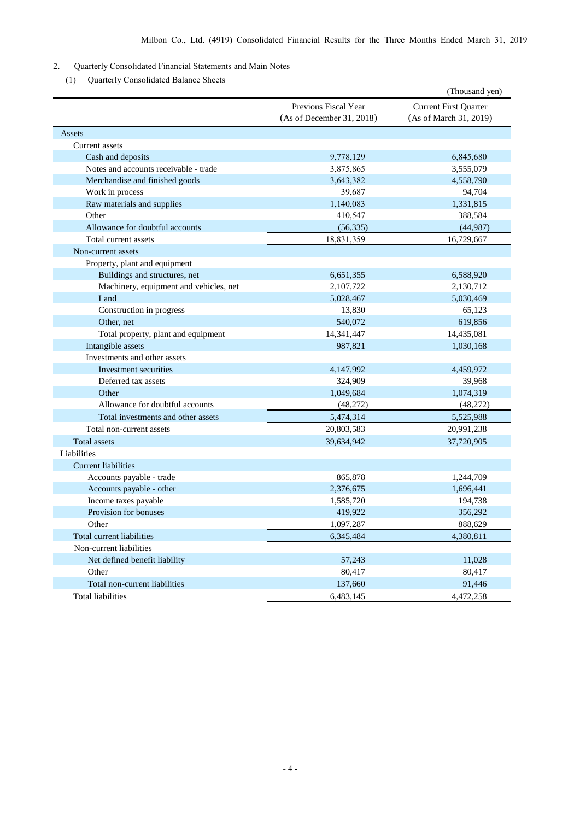### 2. Quarterly Consolidated Financial Statements and Main Notes

(1) Quarterly Consolidated Balance Sheets

|                                        |                           | (Thousand yen)               |
|----------------------------------------|---------------------------|------------------------------|
|                                        | Previous Fiscal Year      | <b>Current First Quarter</b> |
|                                        | (As of December 31, 2018) | (As of March 31, 2019)       |
| Assets                                 |                           |                              |
| Current assets                         |                           |                              |
| Cash and deposits                      | 9,778,129                 | 6,845,680                    |
| Notes and accounts receivable - trade  | 3,875,865                 | 3,555,079                    |
| Merchandise and finished goods         | 3,643,382                 | 4,558,790                    |
| Work in process                        | 39,687                    | 94,704                       |
| Raw materials and supplies             | 1,140,083                 | 1,331,815                    |
| Other                                  | 410,547                   | 388,584                      |
| Allowance for doubtful accounts        | (56, 335)                 | (44,987)                     |
| Total current assets                   | 18,831,359                | 16,729,667                   |
| Non-current assets                     |                           |                              |
| Property, plant and equipment          |                           |                              |
| Buildings and structures, net          | 6,651,355                 | 6,588,920                    |
| Machinery, equipment and vehicles, net | 2,107,722                 | 2,130,712                    |
| Land                                   | 5,028,467                 | 5,030,469                    |
| Construction in progress               | 13,830                    | 65,123                       |
| Other, net                             | 540,072                   | 619,856                      |
| Total property, plant and equipment    | 14,341,447                | 14,435,081                   |
| Intangible assets                      | 987,821                   | 1,030,168                    |
| Investments and other assets           |                           |                              |
| Investment securities                  | 4,147,992                 | 4,459,972                    |
| Deferred tax assets                    | 324,909                   | 39,968                       |
| Other                                  | 1,049,684                 | 1,074,319                    |
| Allowance for doubtful accounts        | (48,272)                  | (48,272)                     |
| Total investments and other assets     | 5,474,314                 | 5,525,988                    |
| Total non-current assets               | 20,803,583                | 20,991,238                   |
| <b>Total assets</b>                    | 39,634,942                | 37,720,905                   |
| Liabilities                            |                           |                              |
| <b>Current liabilities</b>             |                           |                              |
| Accounts payable - trade               | 865,878                   | 1,244,709                    |
| Accounts payable - other               | 2,376,675                 | 1,696,441                    |
| Income taxes payable                   | 1,585,720                 | 194,738                      |
| Provision for bonuses                  | 419,922                   | 356,292                      |
| Other                                  | 1,097,287                 | 888,629                      |
| Total current liabilities              | 6,345,484                 | 4,380,811                    |
| Non-current liabilities                |                           |                              |
| Net defined benefit liability          | 57,243                    | 11,028                       |
| Other                                  | 80,417                    | 80,417                       |
| Total non-current liabilities          | 137,660                   | 91,446                       |
| <b>Total liabilities</b>               | 6,483,145                 | 4,472,258                    |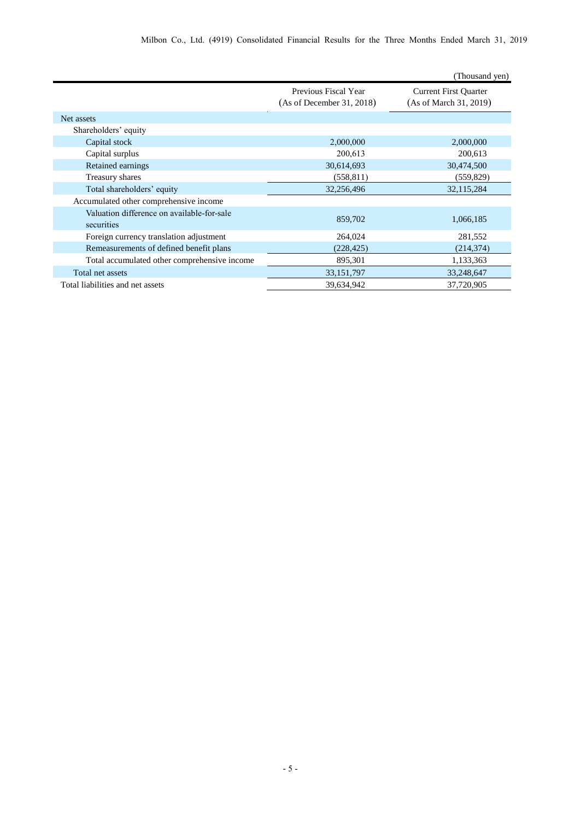|                                                          |                                                   | (Thousand yen)                                         |
|----------------------------------------------------------|---------------------------------------------------|--------------------------------------------------------|
|                                                          | Previous Fiscal Year<br>(As of December 31, 2018) | <b>Current First Quarter</b><br>(As of March 31, 2019) |
| Net assets                                               |                                                   |                                                        |
| Shareholders' equity                                     |                                                   |                                                        |
| Capital stock                                            | 2,000,000                                         | 2,000,000                                              |
| Capital surplus                                          | 200,613                                           | 200,613                                                |
| Retained earnings                                        | 30,614,693                                        | 30,474,500                                             |
| Treasury shares                                          | (558, 811)                                        | (559, 829)                                             |
| Total shareholders' equity                               | 32,256,496                                        | 32,115,284                                             |
| Accumulated other comprehensive income                   |                                                   |                                                        |
| Valuation difference on available-for-sale<br>securities | 859,702                                           | 1,066,185                                              |
| Foreign currency translation adjustment                  | 264,024                                           | 281,552                                                |
| Remeasurements of defined benefit plans                  | (228, 425)                                        | (214, 374)                                             |
| Total accumulated other comprehensive income             | 895,301                                           | 1,133,363                                              |
| Total net assets                                         | 33,151,797                                        | 33,248,647                                             |
| Total liabilities and net assets                         | 39,634,942                                        | 37,720,905                                             |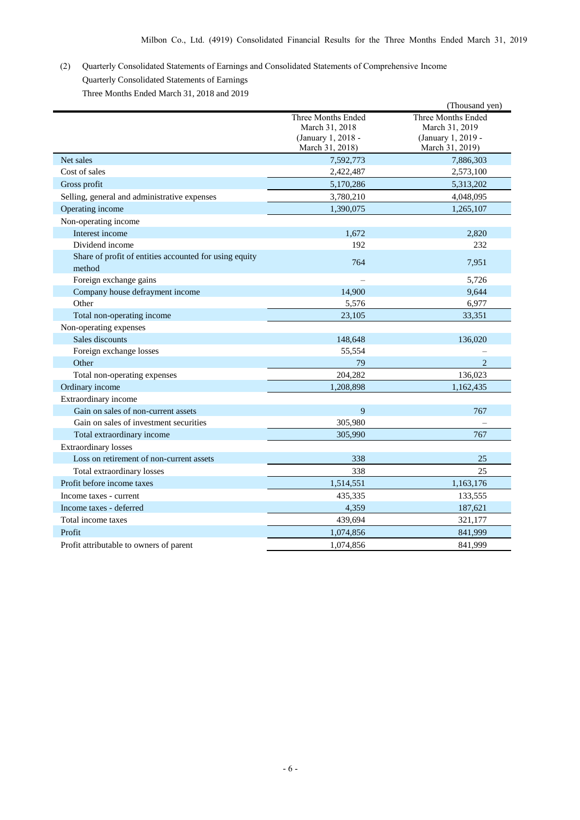## (2) Quarterly Consolidated Statements of Earnings and Consolidated Statements of Comprehensive Income Quarterly Consolidated Statements of Earnings Three Months Ended March 31, 2018 and 2019

|                                                        |                    | (Thousand yen)     |
|--------------------------------------------------------|--------------------|--------------------|
|                                                        | Three Months Ended | Three Months Ended |
|                                                        | March 31, 2018     | March 31, 2019     |
|                                                        | (January 1, 2018 - | (January 1, 2019 - |
|                                                        | March 31, 2018)    | March 31, 2019)    |
| Net sales                                              | 7,592,773          | 7,886,303          |
| Cost of sales                                          | 2,422,487          | 2,573,100          |
| Gross profit                                           | 5,170,286          | 5,313,202          |
| Selling, general and administrative expenses           | 3,780,210          | 4,048,095          |
| Operating income                                       | 1,390,075          | 1,265,107          |
| Non-operating income                                   |                    |                    |
| Interest income                                        | 1,672              | 2.820              |
| Dividend income                                        | 192                | 232                |
| Share of profit of entities accounted for using equity | 764                | 7,951              |
| method                                                 |                    |                    |
| Foreign exchange gains                                 |                    | 5,726              |
| Company house defrayment income                        | 14,900             | 9,644              |
| Other                                                  | 5,576              | 6,977              |
| Total non-operating income                             | 23,105             | 33,351             |
| Non-operating expenses                                 |                    |                    |
| Sales discounts                                        | 148,648            | 136,020            |
| Foreign exchange losses                                | 55,554             |                    |
| Other                                                  | 79                 | $\overline{2}$     |
| Total non-operating expenses                           | 204,282            | 136,023            |
| Ordinary income                                        | 1,208,898          | 1,162,435          |
| Extraordinary income                                   |                    |                    |
| Gain on sales of non-current assets                    | 9                  | 767                |
| Gain on sales of investment securities                 | 305,980            |                    |
| Total extraordinary income                             | 305,990            | 767                |
| <b>Extraordinary losses</b>                            |                    |                    |
| Loss on retirement of non-current assets               | 338                | 25                 |
| Total extraordinary losses                             | 338                | 25                 |
| Profit before income taxes                             | 1,514,551          | 1,163,176          |
| Income taxes - current                                 | 435,335            | 133,555            |
| Income taxes - deferred                                | 4,359              | 187,621            |
| Total income taxes                                     | 439,694            | 321,177            |
| Profit                                                 | 1,074,856          | 841,999            |
| Profit attributable to owners of parent                | 1.074.856          | 841.999            |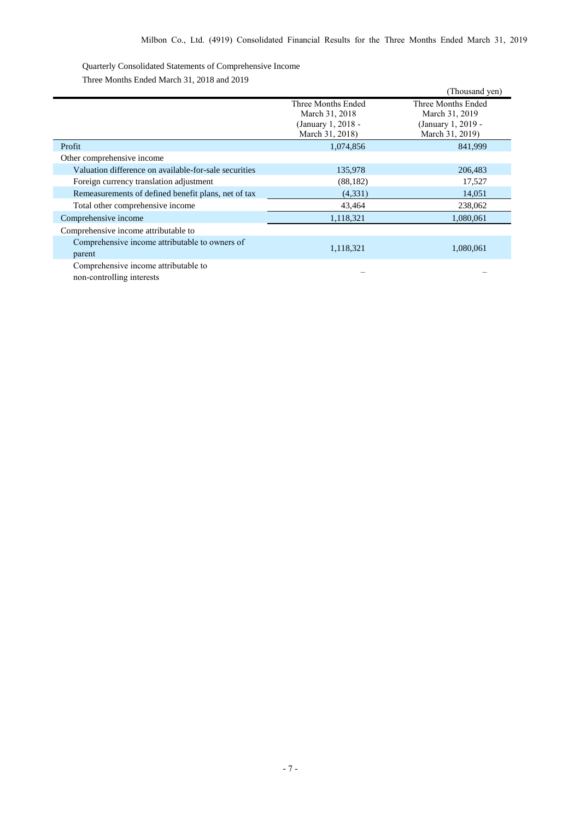Quarterly Consolidated Statements of Comprehensive Income

| Three Months Ended March 31, 2018 and 2019 |  |  |  |
|--------------------------------------------|--|--|--|
|                                            |  |  |  |

|                                                                                                                                                         |                                                                               | (Thousand yen)                                                                |
|---------------------------------------------------------------------------------------------------------------------------------------------------------|-------------------------------------------------------------------------------|-------------------------------------------------------------------------------|
|                                                                                                                                                         | Three Months Ended<br>March 31, 2018<br>(January 1, 2018 -<br>March 31, 2018) | Three Months Ended<br>March 31, 2019<br>(January 1, 2019 -<br>March 31, 2019) |
| Profit                                                                                                                                                  | 1,074,856                                                                     | 841,999                                                                       |
| Other comprehensive income                                                                                                                              |                                                                               |                                                                               |
| Valuation difference on available-for-sale securities                                                                                                   | 135,978                                                                       | 206,483                                                                       |
| Foreign currency translation adjustment                                                                                                                 | (88, 182)                                                                     | 17,527                                                                        |
| Remeasurements of defined benefit plans, net of tax                                                                                                     | (4,331)                                                                       | 14,051                                                                        |
| Total other comprehensive income                                                                                                                        | 43,464                                                                        | 238,062                                                                       |
| Comprehensive income                                                                                                                                    | 1,118,321                                                                     | 1,080,061                                                                     |
| Comprehensive income attributable to                                                                                                                    |                                                                               |                                                                               |
| Comprehensive income attributable to owners of<br>parent                                                                                                | 1,118,321                                                                     | 1,080,061                                                                     |
| Comprehensive income attributable to<br>the contract of the contract of the contract of the contract of the contract of the contract of the contract of |                                                                               |                                                                               |

non-controlling interests – –